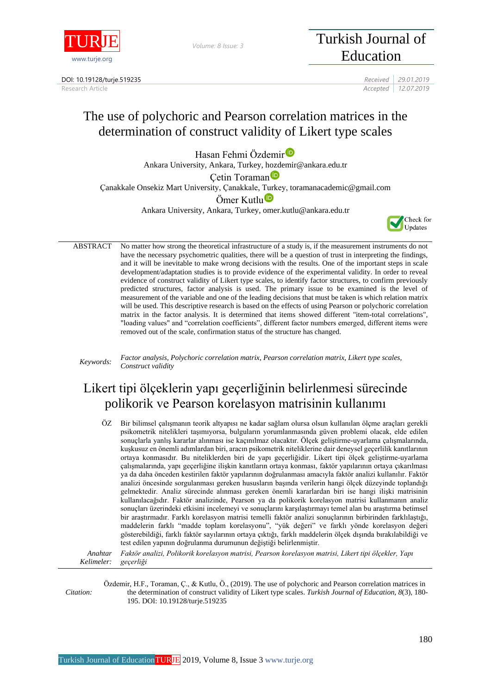

*Volume: 8 Issue: 3*

DOI: 10.19128/turje.519235 *Received 29.01.2019*

# Turkish Journal of Education

Research Article *Accepted 12.07.2019* 

## The use of polychoric and Pearson correlation matrices in the determination of construct validity of Likert type scales

Hasan Fehmi Özdemi[r](https://orcid.org/0000-0002-0705-8032)<sup>D</sup> Ankara University, Ankara, Turkey, hozdemir@ankara.edu.tr

Ceti[n](https://orcid.org/0000-0001-5319-0731) Toraman<sup>o</sup>

Çanakkale Onsekiz Mart University, Çanakkale, Turkey, toramanacademic@gmail.com

Ömer Kutlu<sup>D</sup>

Ankara University, Ankara, Turkey, omer.kutlu@ankara.edu.tr



ABSTRACT No matter how strong the theoretical infrastructure of a study is, if the measurement instruments do not have the necessary psychometric qualities, there will be a question of trust in interpreting the findings, and it will be inevitable to make wrong decisions with the results. One of the important steps in scale development/adaptation studies is to provide evidence of the experimental validity. In order to reveal evidence of construct validity of Likert type scales, to identify factor structures, to confirm previously predicted structures, factor analysis is used. The primary issue to be examined is the level of measurement of the variable and one of the leading decisions that must be taken is which relation matrix will be used. This descriptive research is based on the effects of using Pearson or polychoric correlation matrix in the factor analysis. It is determined that items showed different "item-total correlations", "loading values" and "correlation coefficients", different factor numbers emerged, different items were removed out of the scale, confirmation status of the structure has changed.

*Keywords: Factor analysis, Polychoric correlation matrix, Pearson correlation matrix, Likert type scales, Construct validity*

### Likert tipi ölçeklerin yapı geçerliğinin belirlenmesi sürecinde polikorik ve Pearson korelasyon matrisinin kullanımı

ÖZ Bir bilimsel çalışmanın teorik altyapısı ne kadar sağlam olursa olsun kullanılan ölçme araçları gerekli psikometrik nitelikleri taşımıyorsa, bulguların yorumlanmasında güven problemi olacak, elde edilen sonuçlarla yanlış kararlar alınması ise kaçınılmaz olacaktır. Ölçek geliştirme-uyarlama çalışmalarında, kuşkusuz en önemli adımlardan biri, aracın psikometrik niteliklerine dair deneysel geçerlilik kanıtlarının ortaya konmasıdır. Bu niteliklerden biri de yapı geçerliğidir. Likert tipi ölçek geliştirme-uyarlama çalışmalarında, yapı geçerliğine ilişkin kanıtların ortaya konması, faktör yapılarının ortaya çıkarılması ya da daha önceden kestirilen faktör yapılarının doğrulanması amacıyla faktör analizi kullanılır. Faktör analizi öncesinde sorgulanması gereken hususların başında verilerin hangi ölçek düzeyinde toplandığı gelmektedir. Analiz sürecinde alınması gereken önemli kararlardan biri ise hangi ilişki matrisinin kullanılacağıdır. Faktör analizinde, Pearson ya da polikorik korelasyon matrisi kullanmanın analiz sonuçları üzerindeki etkisini incelemeyi ve sonuçlarını karşılaştırmayı temel alan bu araştırma betimsel bir araştırmadır. Farklı korelasyon matrisi temelli faktör analizi sonuçlarının birbirinden farklılaştığı, maddelerin farklı "madde toplam korelasyonu", "yük değeri" ve farklı yönde korelasyon değeri gösterebildiği, farklı faktör sayılarının ortaya çıktığı, farklı maddelerin ölçek dışında bırakılabildiği ve test edilen yapının doğrulanma durumunun değiştiği belirlenmiştir.

*Anahtar Kelimeler: Faktör analizi, Polikorik korelasyon matrisi, Pearson korelasyon matrisi, Likert tipi ölçekler, Yapı geçerliği*

*Citation:* Özdemir, H.F., Toraman, Ç., & Kutlu, Ö., (2019). The use of polychoric and Pearson correlation matrices in the determination of construct validity of Likert type scales. *Turkish Journal of Education, 8*(3), 180- 195. DOI: 10.19128/turje.519235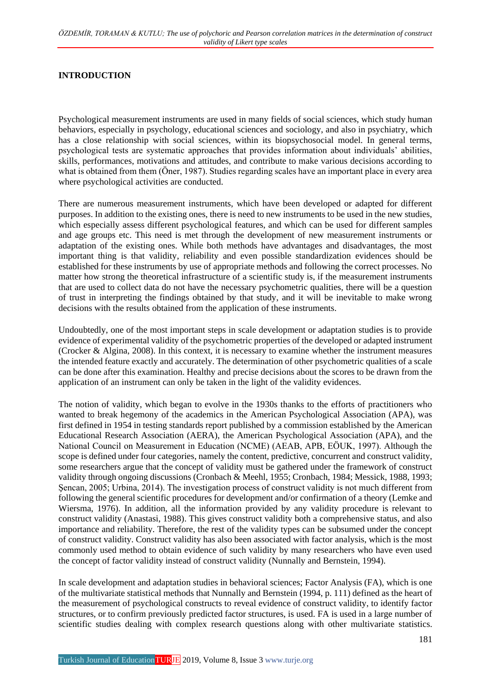#### **INTRODUCTION**

Psychological measurement instruments are used in many fields of social sciences, which study human behaviors, especially in psychology, educational sciences and sociology, and also in psychiatry, which has a close relationship with social sciences, within its biopsychosocial model. In general terms, psychological tests are systematic approaches that provides information about individuals' abilities, skills, performances, motivations and attitudes, and contribute to make various decisions according to what is obtained from them (Öner, 1987). Studies regarding scales have an important place in every area where psychological activities are conducted.

There are numerous measurement instruments, which have been developed or adapted for different purposes. In addition to the existing ones, there is need to new instruments to be used in the new studies, which especially assess different psychological features, and which can be used for different samples and age groups etc. This need is met through the development of new measurement instruments or adaptation of the existing ones. While both methods have advantages and disadvantages, the most important thing is that validity, reliability and even possible standardization evidences should be established for these instruments by use of appropriate methods and following the correct processes. No matter how strong the theoretical infrastructure of a scientific study is, if the measurement instruments that are used to collect data do not have the necessary psychometric qualities, there will be a question of trust in interpreting the findings obtained by that study, and it will be inevitable to make wrong decisions with the results obtained from the application of these instruments.

Undoubtedly, one of the most important steps in scale development or adaptation studies is to provide evidence of experimental validity of the psychometric properties of the developed or adapted instrument (Crocker & Algina, 2008). In this context, it is necessary to examine whether the instrument measures the intended feature exactly and accurately. The determination of other psychometric qualities of a scale can be done after this examination. Healthy and precise decisions about the scores to be drawn from the application of an instrument can only be taken in the light of the validity evidences.

The notion of validity, which began to evolve in the 1930s thanks to the efforts of practitioners who wanted to break hegemony of the academics in the American Psychological Association (APA), was first defined in 1954 in testing standards report published by a commission established by the American Educational Research Association (AERA), the American Psychological Association (APA), and the National Council on Measurement in Education (NCME) (AEAB, APB, EÖUK, 1997). Although the scope is defined under four categories, namely the content, predictive, concurrent and construct validity, some researchers argue that the concept of validity must be gathered under the framework of construct validity through ongoing discussions (Cronbach & Meehl, 1955; Cronbach, 1984; Messick, 1988, 1993; Şencan, 2005; Urbina, 2014). The investigation process of construct validity is not much different from following the general scientific procedures for development and/or confirmation of a theory (Lemke and Wiersma, 1976). In addition, all the information provided by any validity procedure is relevant to construct validity (Anastasi, 1988). This gives construct validity both a comprehensive status, and also importance and reliability. Therefore, the rest of the validity types can be subsumed under the concept of construct validity. Construct validity has also been associated with factor analysis, which is the most commonly used method to obtain evidence of such validity by many researchers who have even used the concept of factor validity instead of construct validity (Nunnally and Bernstein, 1994).

In scale development and adaptation studies in behavioral sciences; Factor Analysis (FA), which is one of the multivariate statistical methods that Nunnally and Bernstein (1994, p. 111) defined as the heart of the measurement of psychological constructs to reveal evidence of construct validity, to identify factor structures, or to confirm previously predicted factor structures, is used. FA is used in a large number of scientific studies dealing with complex research questions along with other multivariate statistics.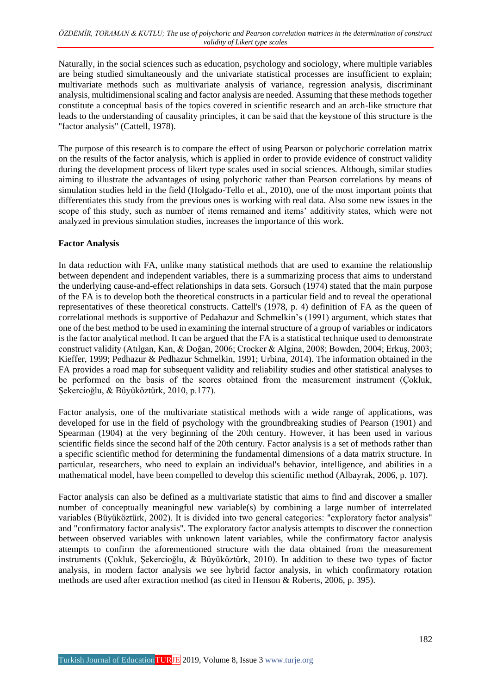Naturally, in the social sciences such as education, psychology and sociology, where multiple variables are being studied simultaneously and the univariate statistical processes are insufficient to explain; multivariate methods such as multivariate analysis of variance, regression analysis, discriminant analysis, multidimensional scaling and factor analysis are needed. Assuming that these methods together constitute a conceptual basis of the topics covered in scientific research and an arch-like structure that leads to the understanding of causality principles, it can be said that the keystone of this structure is the "factor analysis" (Cattell, 1978).

The purpose of this research is to compare the effect of using Pearson or polychoric correlation matrix on the results of the factor analysis, which is applied in order to provide evidence of construct validity during the development process of likert type scales used in social sciences. Although, similar studies aiming to illustrate the advantages of using polychoric rather than Pearson correlations by means of simulation studies held in the field (Holgado-Tello et al., 2010), one of the most important points that differentiates this study from the previous ones is working with real data. Also some new issues in the scope of this study, such as number of items remained and items' additivity states, which were not analyzed in previous simulation studies, increases the importance of this work.

#### **Factor Analysis**

In data reduction with FA, unlike many statistical methods that are used to examine the relationship between dependent and independent variables, there is a summarizing process that aims to understand the underlying cause-and-effect relationships in data sets. Gorsuch (1974) stated that the main purpose of the FA is to develop both the theoretical constructs in a particular field and to reveal the operational representatives of these theoretical constructs. Cattell's (1978, p. 4) definition of FA as the queen of correlational methods is supportive of Pedahazur and Schmelkin's (1991) argument, which states that one of the best method to be used in examining the internal structure of a group of variables or indicators is the factor analytical method. It can be argued that the FA is a statistical technique used to demonstrate construct validity (Atılgan, Kan, & Doğan, 2006; Crocker & Algina, 2008; Bowden, 2004; Erkuş, 2003; Kieffer, 1999; Pedhazur & Pedhazur Schmelkin, 1991; Urbina, 2014). The information obtained in the FA provides a road map for subsequent validity and reliability studies and other statistical analyses to be performed on the basis of the scores obtained from the measurement instrument (Çokluk, Şekercioğlu, & Büyüköztürk, 2010, p.177).

Factor analysis, one of the multivariate statistical methods with a wide range of applications, was developed for use in the field of psychology with the groundbreaking studies of Pearson (1901) and Spearman (1904) at the very beginning of the 20th century. However, it has been used in various scientific fields since the second half of the 20th century. Factor analysis is a set of methods rather than a specific scientific method for determining the fundamental dimensions of a data matrix structure. In particular, researchers, who need to explain an individual's behavior, intelligence, and abilities in a mathematical model, have been compelled to develop this scientific method (Albayrak, 2006, p. 107).

Factor analysis can also be defined as a multivariate statistic that aims to find and discover a smaller number of conceptually meaningful new variable(s) by combining a large number of interrelated variables (Büyüköztürk, 2002). It is divided into two general categories: "exploratory factor analysis" and "confirmatory factor analysis". The exploratory factor analysis attempts to discover the connection between observed variables with unknown latent variables, while the confirmatory factor analysis attempts to confirm the aforementioned structure with the data obtained from the measurement instruments (Çokluk, Şekercioğlu, & Büyüköztürk, 2010). In addition to these two types of factor analysis, in modern factor analysis we see hybrid factor analysis, in which confirmatory rotation methods are used after extraction method (as cited in Henson & Roberts, 2006, p. 395).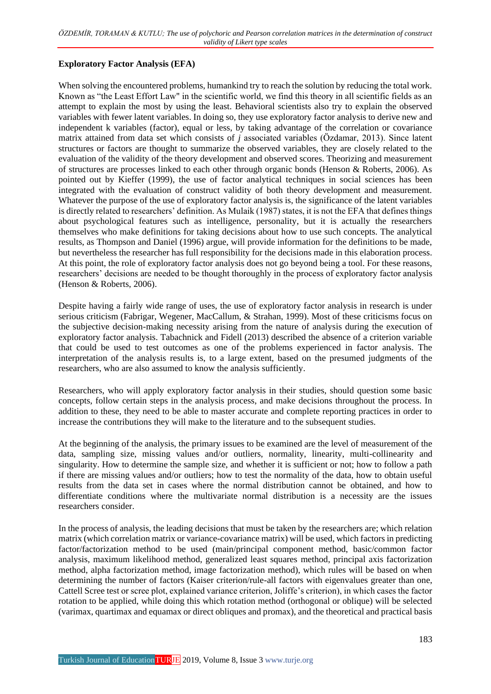#### **Exploratory Factor Analysis (EFA)**

When solving the encountered problems, humankind try to reach the solution by reducing the total work. Known as "the Least Effort Law" in the scientific world, we find this theory in all scientific fields as an attempt to explain the most by using the least. Behavioral scientists also try to explain the observed variables with fewer latent variables. In doing so, they use exploratory factor analysis to derive new and independent k variables (factor), equal or less, by taking advantage of the correlation or covariance matrix attained from data set which consists of *j* associated variables (Özdamar, 2013). Since latent structures or factors are thought to summarize the observed variables, they are closely related to the evaluation of the validity of the theory development and observed scores. Theorizing and measurement of structures are processes linked to each other through organic bonds (Henson & Roberts, 2006). As pointed out by Kieffer (1999), the use of factor analytical techniques in social sciences has been integrated with the evaluation of construct validity of both theory development and measurement. Whatever the purpose of the use of exploratory factor analysis is, the significance of the latent variables is directly related to researchers' definition. As Mulaik (1987) states, it is not the EFA that defines things about psychological features such as intelligence, personality, but it is actually the researchers themselves who make definitions for taking decisions about how to use such concepts. The analytical results, as Thompson and Daniel (1996) argue, will provide information for the definitions to be made, but nevertheless the researcher has full responsibility for the decisions made in this elaboration process. At this point, the role of exploratory factor analysis does not go beyond being a tool. For these reasons, researchers' decisions are needed to be thought thoroughly in the process of exploratory factor analysis (Henson & Roberts, 2006).

Despite having a fairly wide range of uses, the use of exploratory factor analysis in research is under serious criticism (Fabrigar, Wegener, MacCallum, & Strahan, 1999). Most of these criticisms focus on the subjective decision-making necessity arising from the nature of analysis during the execution of exploratory factor analysis. Tabachnick and Fidell (2013) described the absence of a criterion variable that could be used to test outcomes as one of the problems experienced in factor analysis. The interpretation of the analysis results is, to a large extent, based on the presumed judgments of the researchers, who are also assumed to know the analysis sufficiently.

Researchers, who will apply exploratory factor analysis in their studies, should question some basic concepts, follow certain steps in the analysis process, and make decisions throughout the process. In addition to these, they need to be able to master accurate and complete reporting practices in order to increase the contributions they will make to the literature and to the subsequent studies.

At the beginning of the analysis, the primary issues to be examined are the level of measurement of the data, sampling size, missing values and/or outliers, normality, linearity, multi-collinearity and singularity. How to determine the sample size, and whether it is sufficient or not; how to follow a path if there are missing values and/or outliers; how to test the normality of the data, how to obtain useful results from the data set in cases where the normal distribution cannot be obtained, and how to differentiate conditions where the multivariate normal distribution is a necessity are the issues researchers consider.

In the process of analysis, the leading decisions that must be taken by the researchers are; which relation matrix (which correlation matrix or variance-covariance matrix) will be used, which factors in predicting factor/factorization method to be used (main/principal component method, basic/common factor analysis, maximum likelihood method, generalized least squares method, principal axis factorization method, alpha factorization method, image factorization method), which rules will be based on when determining the number of factors (Kaiser criterion/rule-all factors with eigenvalues greater than one, Cattell Scree test or scree plot, explained variance criterion, Joliffe's criterion), in which cases the factor rotation to be applied, while doing this which rotation method (orthogonal or oblique) will be selected (varimax, quartimax and equamax or direct obliques and promax), and the theoretical and practical basis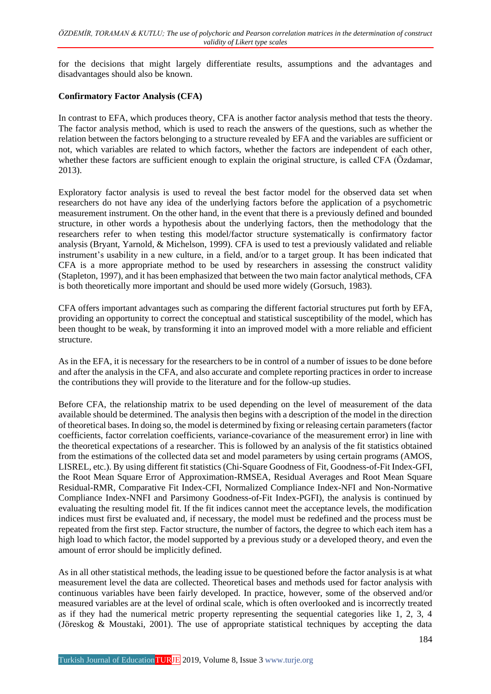for the decisions that might largely differentiate results, assumptions and the advantages and disadvantages should also be known.

#### **Confirmatory Factor Analysis (CFA)**

In contrast to EFA, which produces theory, CFA is another factor analysis method that tests the theory. The factor analysis method, which is used to reach the answers of the questions, such as whether the relation between the factors belonging to a structure revealed by EFA and the variables are sufficient or not, which variables are related to which factors, whether the factors are independent of each other, whether these factors are sufficient enough to explain the original structure, is called CFA (Özdamar, 2013).

Exploratory factor analysis is used to reveal the best factor model for the observed data set when researchers do not have any idea of the underlying factors before the application of a psychometric measurement instrument. On the other hand, in the event that there is a previously defined and bounded structure, in other words a hypothesis about the underlying factors, then the methodology that the researchers refer to when testing this model/factor structure systematically is confirmatory factor analysis (Bryant, Yarnold, & Michelson, 1999). CFA is used to test a previously validated and reliable instrument's usability in a new culture, in a field, and/or to a target group. It has been indicated that CFA is a more appropriate method to be used by researchers in assessing the construct validity (Stapleton, 1997), and it has been emphasized that between the two main factor analytical methods, CFA is both theoretically more important and should be used more widely (Gorsuch, 1983).

CFA offers important advantages such as comparing the different factorial structures put forth by EFA, providing an opportunity to correct the conceptual and statistical susceptibility of the model, which has been thought to be weak, by transforming it into an improved model with a more reliable and efficient structure.

As in the EFA, it is necessary for the researchers to be in control of a number of issues to be done before and after the analysis in the CFA, and also accurate and complete reporting practices in order to increase the contributions they will provide to the literature and for the follow-up studies.

Before CFA, the relationship matrix to be used depending on the level of measurement of the data available should be determined. The analysis then begins with a description of the model in the direction of theoretical bases. In doing so, the model is determined by fixing or releasing certain parameters (factor coefficients, factor correlation coefficients, variance-covariance of the measurement error) in line with the theoretical expectations of a researcher. This is followed by an analysis of the fit statistics obtained from the estimations of the collected data set and model parameters by using certain programs (AMOS, LISREL, etc.). By using different fit statistics (Chi-Square Goodness of Fit, Goodness-of-Fit Index-GFI, the Root Mean Square Error of Approximation-RMSEA, Residual Averages and Root Mean Square Residual-RMR, Comparative Fit Index-CFI, Normalized Compliance Index-NFI and Non-Normative Compliance Index-NNFI and Parsimony Goodness-of-Fit Index-PGFI), the analysis is continued by evaluating the resulting model fit. If the fit indices cannot meet the acceptance levels, the modification indices must first be evaluated and, if necessary, the model must be redefined and the process must be repeated from the first step. Factor structure, the number of factors, the degree to which each item has a high load to which factor, the model supported by a previous study or a developed theory, and even the amount of error should be implicitly defined.

As in all other statistical methods, the leading issue to be questioned before the factor analysis is at what measurement level the data are collected. Theoretical bases and methods used for factor analysis with continuous variables have been fairly developed. In practice, however, some of the observed and/or measured variables are at the level of ordinal scale, which is often overlooked and is incorrectly treated as if they had the numerical metric property representing the sequential categories like 1, 2, 3, 4 (Jöreskog & Moustaki, 2001). The use of appropriate statistical techniques by accepting the data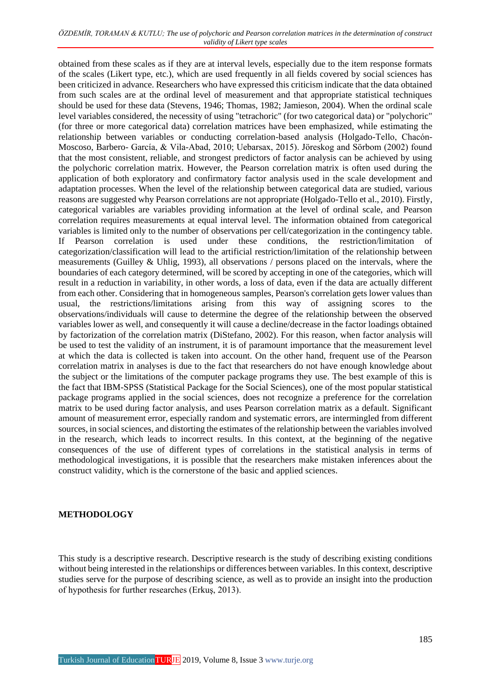obtained from these scales as if they are at interval levels, especially due to the item response formats of the scales (Likert type, etc.), which are used frequently in all fields covered by social sciences has been criticized in advance. Researchers who have expressed this criticism indicate that the data obtained from such scales are at the ordinal level of measurement and that appropriate statistical techniques should be used for these data (Stevens, 1946; Thomas, 1982; Jamieson, 2004). When the ordinal scale level variables considered, the necessity of using "tetrachoric" (for two categorical data) or "polychoric" (for three or more categorical data) correlation matrices have been emphasized, while estimating the relationship between variables or conducting correlation-based analysis (Holgado-Tello, Chacón-Moscoso, Barbero- García, & Vila-Abad, 2010; Uebarsax, 2015). Jöreskog and Sörbom (2002) found that the most consistent, reliable, and strongest predictors of factor analysis can be achieved by using the polychoric correlation matrix. However, the Pearson correlation matrix is often used during the application of both exploratory and confirmatory factor analysis used in the scale development and adaptation processes. When the level of the relationship between categorical data are studied, various reasons are suggested why Pearson correlations are not appropriate (Holgado-Tello et al., 2010). Firstly, categorical variables are variables providing information at the level of ordinal scale, and Pearson correlation requires measurements at equal interval level. The information obtained from categorical variables is limited only to the number of observations per cell/categorization in the contingency table. If Pearson correlation is used under these conditions, the restriction/limitation of categorization/classification will lead to the artificial restriction/limitation of the relationship between measurements (Guilley & Uhlig, 1993), all observations / persons placed on the intervals, where the boundaries of each category determined, will be scored by accepting in one of the categories, which will result in a reduction in variability, in other words, a loss of data, even if the data are actually different from each other. Considering that in homogeneous samples, Pearson's correlation gets lower values than usual, the restrictions/limitations arising from this way of assigning scores to the observations/individuals will cause to determine the degree of the relationship between the observed variables lower as well, and consequently it will cause a decline/decrease in the factor loadings obtained by factorization of the correlation matrix (DiStefano, 2002). For this reason, when factor analysis will be used to test the validity of an instrument, it is of paramount importance that the measurement level at which the data is collected is taken into account. On the other hand, frequent use of the Pearson correlation matrix in analyses is due to the fact that researchers do not have enough knowledge about the subject or the limitations of the computer package programs they use. The best example of this is the fact that IBM-SPSS (Statistical Package for the Social Sciences), one of the most popular statistical package programs applied in the social sciences, does not recognize a preference for the correlation matrix to be used during factor analysis, and uses Pearson correlation matrix as a default. Significant amount of measurement error, especially random and systematic errors, are intermingled from different sources, in social sciences, and distorting the estimates of the relationship between the variables involved in the research, which leads to incorrect results. In this context, at the beginning of the negative consequences of the use of different types of correlations in the statistical analysis in terms of methodological investigations, it is possible that the researchers make mistaken inferences about the construct validity, which is the cornerstone of the basic and applied sciences.

#### **METHODOLOGY**

This study is a descriptive research. Descriptive research is the study of describing existing conditions without being interested in the relationships or differences between variables. In this context, descriptive studies serve for the purpose of describing science, as well as to provide an insight into the production of hypothesis for further researches (Erkuş, 2013).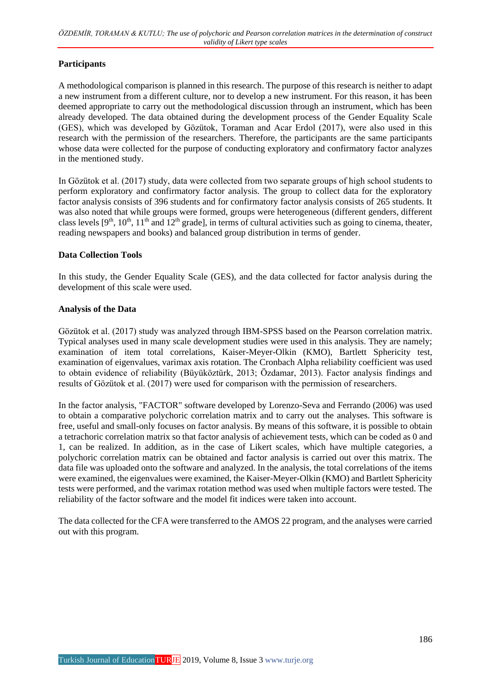#### **Participants**

A methodological comparison is planned in this research. The purpose of this research is neither to adapt a new instrument from a different culture, nor to develop a new instrument. For this reason, it has been deemed appropriate to carry out the methodological discussion through an instrument, which has been already developed. The data obtained during the development process of the Gender Equality Scale (GES), which was developed by Gözütok, Toraman and Acar Erdol (2017), were also used in this research with the permission of the researchers. Therefore, the participants are the same participants whose data were collected for the purpose of conducting exploratory and confirmatory factor analyzes in the mentioned study.

In Gözütok et al. (2017) study, data were collected from two separate groups of high school students to perform exploratory and confirmatory factor analysis. The group to collect data for the exploratory factor analysis consists of 396 students and for confirmatory factor analysis consists of 265 students. It was also noted that while groups were formed, groups were heterogeneous (different genders, different class levels  $[9<sup>th</sup>, 10<sup>th</sup>, 11<sup>th</sup>$  and  $12<sup>th</sup>$  grade], in terms of cultural activities such as going to cinema, theater, reading newspapers and books) and balanced group distribution in terms of gender.

#### **Data Collection Tools**

In this study, the Gender Equality Scale (GES), and the data collected for factor analysis during the development of this scale were used.

#### **Analysis of the Data**

Gözütok et al. (2017) study was analyzed through IBM-SPSS based on the Pearson correlation matrix. Typical analyses used in many scale development studies were used in this analysis. They are namely; examination of item total correlations, Kaiser-Meyer-Olkin (KMO), Bartlett Sphericity test, examination of eigenvalues, varimax axis rotation. The Cronbach Alpha reliability coefficient was used to obtain evidence of reliability (Büyüköztürk, 2013; Özdamar, 2013). Factor analysis findings and results of Gözütok et al. (2017) were used for comparison with the permission of researchers.

In the factor analysis, "FACTOR" software developed by Lorenzo-Seva and Ferrando (2006) was used to obtain a comparative polychoric correlation matrix and to carry out the analyses. This software is free, useful and small-only focuses on factor analysis. By means of this software, it is possible to obtain a tetrachoric correlation matrix so that factor analysis of achievement tests, which can be coded as 0 and 1, can be realized. In addition, as in the case of Likert scales, which have multiple categories, a polychoric correlation matrix can be obtained and factor analysis is carried out over this matrix. The data file was uploaded onto the software and analyzed. In the analysis, the total correlations of the items were examined, the eigenvalues were examined, the Kaiser-Meyer-Olkin (KMO) and Bartlett Sphericity tests were performed, and the varimax rotation method was used when multiple factors were tested. The reliability of the factor software and the model fit indices were taken into account.

The data collected for the CFA were transferred to the AMOS 22 program, and the analyses were carried out with this program.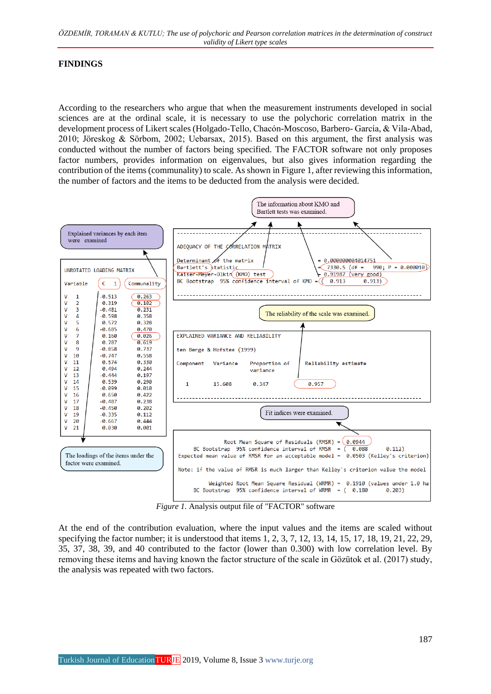#### **FINDINGS**

According to the researchers who argue that when the measurement instruments developed in social sciences are at the ordinal scale, it is necessary to use the polychoric correlation matrix in the development process of Likert scales (Holgado-Tello, Chacón-Moscoso, Barbero- García, & Vila-Abad, 2010; Jöreskog & Sörbom, 2002; Uebarsax, 2015). Based on this argument, the first analysis was conducted without the number of factors being specified. The FACTOR software not only proposes factor numbers, provides information on eigenvalues, but also gives information regarding the contribution of the items (communality) to scale. As shown in Figure 1, after reviewing this information, the number of factors and the items to be deducted from the analysis were decided.



*Figure 1.* Analysis output file of "FACTOR" software

At the end of the contribution evaluation, where the input values and the items are scaled without specifying the factor number; it is understood that items 1, 2, 3, 7, 12, 13, 14, 15, 17, 18, 19, 21, 22, 29, 35, 37, 38, 39, and 40 contributed to the factor (lower than 0.300) with low correlation level. By removing these items and having known the factor structure of the scale in Gözütok et al. (2017) study, the analysis was repeated with two factors.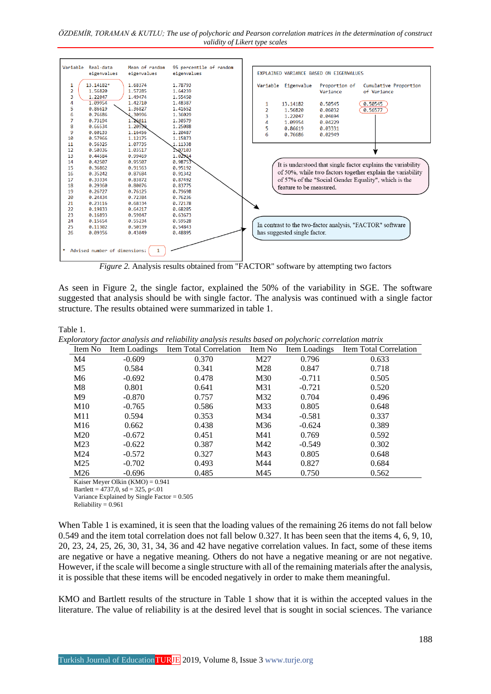

*Figure 2.* Analysis results obtained from "FACTOR" software by attempting two factors

As seen in Figure 2, the single factor, explained the 50% of the variability in SGE. The software suggested that analysis should be with single factor. The analysis was continued with a single factor structure. The results obtained were summarized in table 1.

Table 1.

*Exploratory factor analysis and reliability analysis results based on polychoric correlation matrix*

| Item No         | Item Loadings | Item Total Correlation | Item No | Item Loadings | Item Total Correlation |
|-----------------|---------------|------------------------|---------|---------------|------------------------|
| M4              | $-0.609$      | 0.370                  | M27     | 0.796         | 0.633                  |
| M <sub>5</sub>  | 0.584         | 0.341                  | M28     | 0.847         | 0.718                  |
| M <sub>6</sub>  | $-0.692$      | 0.478                  | M30     | $-0.711$      | 0.505                  |
| M8              | 0.801         | 0.641                  | M31     | $-0.721$      | 0.520                  |
| M <sup>9</sup>  | $-0.870$      | 0.757                  | M32     | 0.704         | 0.496                  |
| M <sub>10</sub> | $-0.765$      | 0.586                  | M33     | 0.805         | 0.648                  |
| M11             | 0.594         | 0.353                  | M34     | $-0.581$      | 0.337                  |
| M16             | 0.662         | 0.438                  | M36     | $-0.624$      | 0.389                  |
| M <sub>20</sub> | $-0.672$      | 0.451                  | M41     | 0.769         | 0.592                  |
| M <sub>23</sub> | $-0.622$      | 0.387                  | M42     | $-0.549$      | 0.302                  |
| M24             | $-0.572$      | 0.327                  | M43     | 0.805         | 0.648                  |
| M <sub>25</sub> | $-0.702$      | 0.493                  | M44     | 0.827         | 0.684                  |
| M26             | $-0.696$      | 0.485                  | M45     | 0.750         | 0.562                  |

Kaiser Meyer Olkin  $(KMO) = 0.941$ 

Bartlett =  $4737.0$ , sd =  $325$ , p< $.01$ Variance Explained by Single Factor = 0.505

Reliability  $= 0.961$ 

When Table 1 is examined, it is seen that the loading values of the remaining 26 items do not fall below 0.549 and the item total correlation does not fall below 0.327. It has been seen that the items 4, 6, 9, 10, 20, 23, 24, 25, 26, 30, 31, 34, 36 and 42 have negative correlation values. In fact, some of these items are negative or have a negative meaning. Others do not have a negative meaning or are not negative. However, if the scale will become a single structure with all of the remaining materials after the analysis, it is possible that these items will be encoded negatively in order to make them meaningful.

KMO and Bartlett results of the structure in Table 1 show that it is within the accepted values in the literature. The value of reliability is at the desired level that is sought in social sciences. The variance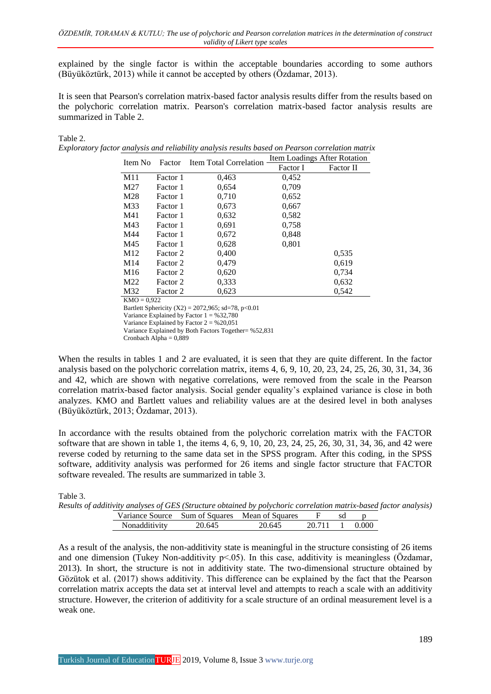explained by the single factor is within the acceptable boundaries according to some authors (Büyüköztürk, 2013) while it cannot be accepted by others (Özdamar, 2013).

It is seen that Pearson's correlation matrix-based factor analysis results differ from the results based on the polychoric correlation matrix. Pearson's correlation matrix-based factor analysis results are summarized in Table 2.

#### Table 2.

 $T_{\alpha}$ 1.1.  $\alpha$ 

| Exploratory factor analysis and reliability analysis results based on Pearson correlation matrix |
|--------------------------------------------------------------------------------------------------|
|--------------------------------------------------------------------------------------------------|

| Item No         | Factor   | <b>Item Total Correlation</b> | Item Loadings After Rotation |           |  |  |
|-----------------|----------|-------------------------------|------------------------------|-----------|--|--|
|                 |          |                               | Factor I                     | Factor II |  |  |
| M11             | Factor 1 | 0.463                         | 0,452                        |           |  |  |
| M27             | Factor 1 | 0,654                         | 0,709                        |           |  |  |
| M28             | Factor 1 | 0.710                         | 0,652                        |           |  |  |
| M33             | Factor 1 | 0.673                         | 0,667                        |           |  |  |
| M41             | Factor 1 | 0,632                         | 0,582                        |           |  |  |
| M43             | Factor 1 | 0.691                         | 0,758                        |           |  |  |
| M44             | Factor 1 | 0,672                         | 0,848                        |           |  |  |
| M45             | Factor 1 | 0,628                         | 0,801                        |           |  |  |
| M <sub>12</sub> | Factor 2 | 0,400                         |                              | 0,535     |  |  |
| M <sub>14</sub> | Factor 2 | 0.479                         |                              | 0,619     |  |  |
| M <sub>16</sub> | Factor 2 | 0,620                         |                              | 0,734     |  |  |
| M22             | Factor 2 | 0.333                         |                              | 0,632     |  |  |
| M32             | Factor 2 | 0.623                         |                              | 0,542     |  |  |
| $KMO = 0.922$   |          |                               |                              |           |  |  |

Bartlett Sphericity (X2) = 2072,965; sd=78, p<0.01 Variance Explained by Factor  $1 = 9632.780$ Variance Explained by Factor  $2 = 9620,051$ Variance Explained by Both Factors Together= %52,831 Cronbach Alpha =  $0,889$ 

When the results in tables 1 and 2 are evaluated, it is seen that they are quite different. In the factor analysis based on the polychoric correlation matrix, items 4, 6, 9, 10, 20, 23, 24, 25, 26, 30, 31, 34, 36 and 42, which are shown with negative correlations, were removed from the scale in the Pearson correlation matrix-based factor analysis. Social gender equality's explained variance is close in both analyzes. KMO and Bartlett values and reliability values are at the desired level in both analyses (Büyüköztürk, 2013; Özdamar, 2013).

In accordance with the results obtained from the polychoric correlation matrix with the FACTOR software that are shown in table 1, the items 4, 6, 9, 10, 20, 23, 24, 25, 26, 30, 31, 34, 36, and 42 were reverse coded by returning to the same data set in the SPSS program. After this coding, in the SPSS software, additivity analysis was performed for 26 items and single factor structure that FACTOR software revealed. The results are summarized in table 3.

| rable 5. |                                                                                                                   |  |
|----------|-------------------------------------------------------------------------------------------------------------------|--|
|          | Results of additivity analyses of GES (Structure obtained by polychoric correlation matrix-based factor analysis) |  |

|                      |        | is of addition, and joes of GES (Structure obtained by porferiorie correlation mairix based fi |        |         |  |
|----------------------|--------|------------------------------------------------------------------------------------------------|--------|---------|--|
|                      |        | Variance Source Sum of Squares Mean of Squares                                                 |        |         |  |
| <b>Nonadditivity</b> | 20.645 | 20.645                                                                                         | 20.711 | 1 0.000 |  |

As a result of the analysis, the non-additivity state is meaningful in the structure consisting of 26 items and one dimension (Tukey Non-additivity  $p<05$ ). In this case, additivity is meaningless (Özdamar, 2013). In short, the structure is not in additivity state. The two-dimensional structure obtained by Gözütok et al. (2017) shows additivity. This difference can be explained by the fact that the Pearson correlation matrix accepts the data set at interval level and attempts to reach a scale with an additivity structure. However, the criterion of additivity for a scale structure of an ordinal measurement level is a weak one.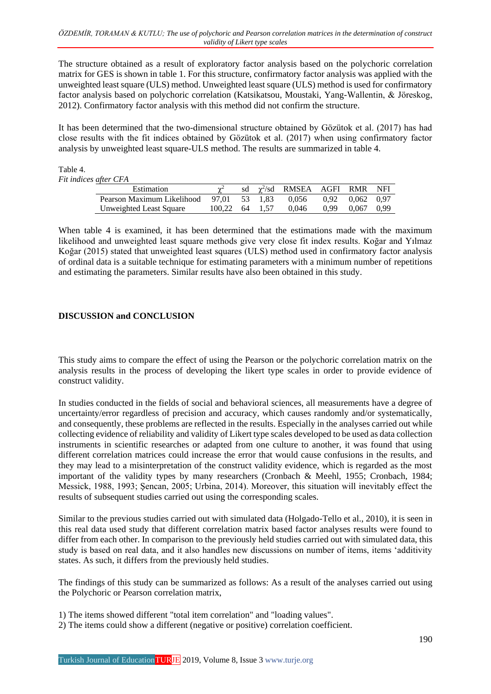The structure obtained as a result of exploratory factor analysis based on the polychoric correlation matrix for GES is shown in table 1. For this structure, confirmatory factor analysis was applied with the unweighted least square (ULS) method. Unweighted least square (ULS) method is used for confirmatory factor analysis based on polychoric correlation (Katsikatsou, Moustaki, Yang-Wallentin, & Jöreskog, 2012). Confirmatory factor analysis with this method did not confirm the structure.

It has been determined that the two-dimensional structure obtained by Gözütok et al. (2017) has had close results with the fit indices obtained by Gözütok et al. (2017) when using confirmatory factor analysis by unweighted least square-ULS method. The results are summarized in table 4.

Table 4.

*Fit indices after CFA*

| $u\mu e\mathbf{i}$ $\mathbf{C}\mathbf{i}$ $\mathbf{A}$ |                |  |  |                                    |  |                       |  |
|--------------------------------------------------------|----------------|--|--|------------------------------------|--|-----------------------|--|
| Estimation                                             |                |  |  | sd $\chi^2$ /sd RMSEA AGFI RMR NFI |  |                       |  |
| Pearson Maximum Likelihood $97.01$ $53$ $1.83$ $0.056$ |                |  |  |                                    |  | 0.92 0.062 0.97       |  |
| Unweighted Least Square                                | 100.22 64 1.57 |  |  | 0.046                              |  | $0.99$ $0.067$ $0.99$ |  |
|                                                        |                |  |  |                                    |  |                       |  |

When table 4 is examined, it has been determined that the estimations made with the maximum likelihood and unweighted least square methods give very close fit index results. Koğar and Yılmaz Koğar (2015) stated that unweighted least squares (ULS) method used in confirmatory factor analysis of ordinal data is a suitable technique for estimating parameters with a minimum number of repetitions and estimating the parameters. Similar results have also been obtained in this study.

### **DISCUSSION and CONCLUSION**

This study aims to compare the effect of using the Pearson or the polychoric correlation matrix on the analysis results in the process of developing the likert type scales in order to provide evidence of construct validity.

In studies conducted in the fields of social and behavioral sciences, all measurements have a degree of uncertainty/error regardless of precision and accuracy, which causes randomly and/or systematically, and consequently, these problems are reflected in the results. Especially in the analyses carried out while collecting evidence of reliability and validity of Likert type scales developed to be used as data collection instruments in scientific researches or adapted from one culture to another, it was found that using different correlation matrices could increase the error that would cause confusions in the results, and they may lead to a misinterpretation of the construct validity evidence, which is regarded as the most important of the validity types by many researchers (Cronbach & Meehl, 1955; Cronbach, 1984; Messick, 1988, 1993; Şencan, 2005; Urbina, 2014). Moreover, this situation will inevitably effect the results of subsequent studies carried out using the corresponding scales.

Similar to the previous studies carried out with simulated data (Holgado-Tello et al., 2010), it is seen in this real data used study that different correlation matrix based factor analyses results were found to differ from each other. In comparison to the previously held studies carried out with simulated data, this study is based on real data, and it also handles new discussions on number of items, items 'additivity states. As such, it differs from the previously held studies.

The findings of this study can be summarized as follows: As a result of the analyses carried out using the Polychoric or Pearson correlation matrix,

- 1) The items showed different "total item correlation" and "loading values".
- 2) The items could show a different (negative or positive) correlation coefficient.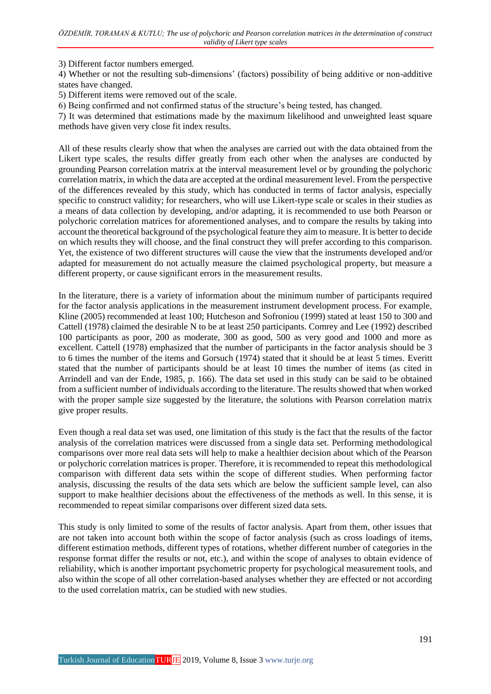3) Different factor numbers emerged.

4) Whether or not the resulting sub-dimensions' (factors) possibility of being additive or non-additive states have changed.

5) Different items were removed out of the scale.

6) Being confirmed and not confirmed status of the structure's being tested, has changed.

7) It was determined that estimations made by the maximum likelihood and unweighted least square methods have given very close fit index results.

All of these results clearly show that when the analyses are carried out with the data obtained from the Likert type scales, the results differ greatly from each other when the analyses are conducted by grounding Pearson correlation matrix at the interval measurement level or by grounding the polychoric correlation matrix, in which the data are accepted at the ordinal measurement level. From the perspective of the differences revealed by this study, which has conducted in terms of factor analysis, especially specific to construct validity; for researchers, who will use Likert-type scale or scales in their studies as a means of data collection by developing, and/or adapting, it is recommended to use both Pearson or polychoric correlation matrices for aforementioned analyses, and to compare the results by taking into account the theoretical background of the psychological feature they aim to measure. It is better to decide on which results they will choose, and the final construct they will prefer according to this comparison. Yet, the existence of two different structures will cause the view that the instruments developed and/or adapted for measurement do not actually measure the claimed psychological property, but measure a different property, or cause significant errors in the measurement results.

In the literature, there is a variety of information about the minimum number of participants required for the factor analysis applications in the measurement instrument development process. For example, Kline (2005) recommended at least 100; Hutcheson and Sofroniou (1999) stated at least 150 to 300 and Cattell (1978) claimed the desirable N to be at least 250 participants. Comrey and Lee (1992) described 100 participants as poor, 200 as moderate, 300 as good, 500 as very good and 1000 and more as excellent. Cattell (1978) emphasized that the number of participants in the factor analysis should be 3 to 6 times the number of the items and Gorsuch (1974) stated that it should be at least 5 times. Everitt stated that the number of participants should be at least 10 times the number of items (as cited in Arrindell and van der Ende, 1985, p. 166). The data set used in this study can be said to be obtained from a sufficient number of individuals according to the literature. The results showed that when worked with the proper sample size suggested by the literature, the solutions with Pearson correlation matrix give proper results.

Even though a real data set was used, one limitation of this study is the fact that the results of the factor analysis of the correlation matrices were discussed from a single data set. Performing methodological comparisons over more real data sets will help to make a healthier decision about which of the Pearson or polychoric correlation matrices is proper. Therefore, it is recommended to repeat this methodological comparison with different data sets within the scope of different studies. When performing factor analysis, discussing the results of the data sets which are below the sufficient sample level, can also support to make healthier decisions about the effectiveness of the methods as well. In this sense, it is recommended to repeat similar comparisons over different sized data sets.

This study is only limited to some of the results of factor analysis. Apart from them, other issues that are not taken into account both within the scope of factor analysis (such as cross loadings of items, different estimation methods, different types of rotations, whether different number of categories in the response format differ the results or not, etc.), and within the scope of analyses to obtain evidence of reliability, which is another important psychometric property for psychological measurement tools, and also within the scope of all other correlation-based analyses whether they are effected or not according to the used correlation matrix, can be studied with new studies.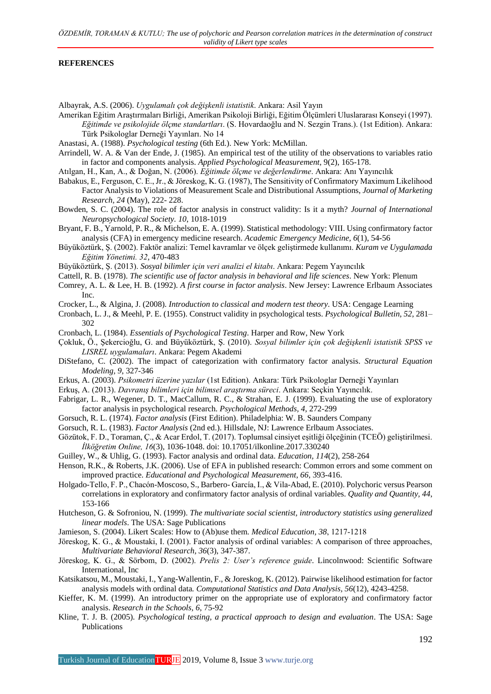#### **REFERENCES**

Albayrak, A.S. (2006). *Uygulamalı çok değişkenli istatistik*. Ankara: Asil Yayın

Amerikan Eğitim Araştırmaları Birliği, Amerikan Psikoloji Birliği, Eğitim Ölçümleri Uluslararası Konseyi (1997). *Eğitimde ve psikolojide ölçme standartları*. (S. Hovardaoğlu and N. Sezgin Trans.). (1st Edition). Ankara: Türk Psikologlar Derneği Yayınları. No 14

Anastasi, A. (1988). *Psychological testing* (6th Ed.). New York: McMillan.

- Arrindell, W. A. & Van der Ende, J. (1985). An empirical test of the utility of the observations to variables ratio in factor and components analysis. *Applied Psychological Measurement*, 9(2), 165-178.
- Atılgan, H., Kan, A., & Doğan, N. (2006). *Eğitimde ölçme ve değerlendirme*. Ankara: Anı Yayıncılık
- Babakus, E., Ferguson, C. E., Jr., & Jöreskog, K. G. (1987), The Sensitivity of Confirmatory Maximum Likelihood Factor Analysis to Violations of Measurement Scale and Distributional Assumptions, *Journal of Marketing Research, 24* (May), 222- 228.
- Bowden, S. C. (2004). The role of factor analysis in construct validity: Is it a myth? *Journal of International Neuropsychological Society. 10*, 1018-1019
- Bryant, F. B., Yarnold, P. R., & Michelson, E. A. (1999). Statistical methodology: VIII. Using confirmatory factor analysis (CFA) in emergency medicine research. *Academic Emergency Medicine, 6*(1), 54-56
- Büyüköztürk, Ş. (2002). Faktör analizi: Temel kavramlar ve ölçek geliştirmede kullanımı. *Kuram ve Uygulamada Eğitim Yönetimi. 32*, 470-483
- Büyüköztürk, Ş. (2013). *Sosyal bilimler için veri analizi el kitabı*. Ankara: Pegem Yayıncılık
- Cattell, R. B. (1978). *The scientific use of factor analysis in behavioral and life sciences*. New York: Plenum
- Comrey, A. L. & Lee, H. B. (1992). *A first course in factor analysis*. New Jersey: Lawrence Erlbaum Associates Inc.
- Crocker, L., & Algina, J. (2008). *Introduction to classical and modern test theory*. USA: Cengage Learning

Cronbach, L. J., & Meehl, P. E. (1955). Construct validity in psychological tests. *Psychological Bulletin, 52*, 281– 302

- Cronbach, L. (1984). *Essentials of Psychological Testing*. Harper and Row, New York
- Çokluk, Ö., Şekercioğlu, G. and Büyüköztürk, Ş. (2010). *Sosyal bilimler için çok değişkenli istatistik SPSS ve LISREL uygulamaları*. Ankara: Pegem Akademi
- DiStefano, C. (2002). The impact of categorization with confirmatory factor analysis. *Structural Equation Modeling, 9*, 327-346
- Erkus, A. (2003). *Psikometri üzerine yazılar* (1st Edition). Ankara: Türk Psikologlar Derneği Yayınları
- Erkuş, A. (2013). *Davranış bilimleri için bilimsel araştırma süreci*. Ankara: Seçkin Yayıncılık.
- Fabrigar, L. R., Wegener, D. T., MacCallum, R. C., & Strahan, E. J. (1999). Evaluating the use of exploratory factor analysis in psychological research. *Psychological Methods, 4*, 272-299
- Gorsuch, R. L. (1974). *Factor analysis* (First Edition). Philadelphia: W. B. Saunders Company
- Gorsuch, R. L. (1983). *Factor Analysis* (2nd ed.). Hillsdale, NJ: Lawrence Erlbaum Associates.
- Gözütok, F. D., Toraman, Ç., & Acar Erdol, T. (2017). Toplumsal cinsiyet eşitliği ölçeğinin (TCEÖ) geliştirilmesi. *İlköğretim Online, 16*(3), 1036-1048. doi: 10.17051/ilkonline.2017.330240
- Guilley, W., & Uhlig, G. (1993). Factor analysis and ordinal data. *Education, 114*(2), 258-264
- Henson, R.K., & Roberts, J.K. (2006). Use of EFA in published research: Common errors and some comment on improved practice. *Educational and Psychological Measurement, 66*, 393-416.
- Holgado-Tello, F. P., Chacón-Moscoso, S., Barbero- García, I., & Vila-Abad, E. (2010). Polychoric versus Pearson correlations in exploratory and confirmatory factor analysis of ordinal variables. *Quality and Quantity, 44*, 153-166
- Hutcheson, G. & Sofroniou, N. (1999). *The multivariate social scientist, introductory statistics using generalized linear models*. The USA: Sage Publications
- Jamieson, S. (2004). Likert Scales: How to (Ab)use them. *Medical Education, 38*, 1217‐1218
- Jöreskog, K. G., & Moustaki, I. (2001). Factor analysis of ordinal variables: A comparison of three approaches, *Multivariate Behavioral Research, 36*(3), 347-387.
- Jöreskog, K. G., & Sörbom, D. (2002). *Prelis 2: User's reference guide*. Lincolnwood: Scientific Software International, Inc
- Katsikatsou, M., Moustaki, I., Yang-Wallentin, F., & Joreskog, K. (2012). Pairwise likelihood estimation for factor analysis models with ordinal data*. Computational Statistics and Data Analysis, 56*(12), 4243-4258.
- Kieffer, K. M. (1999). An introductory primer on the appropriate use of exploratory and confirmatory factor analysis. *Research in the Schools, 6*, 75-92
- Kline, T. J. B. (2005). *Psychological testing, a practical approach to design and evaluation*. The USA: Sage Publications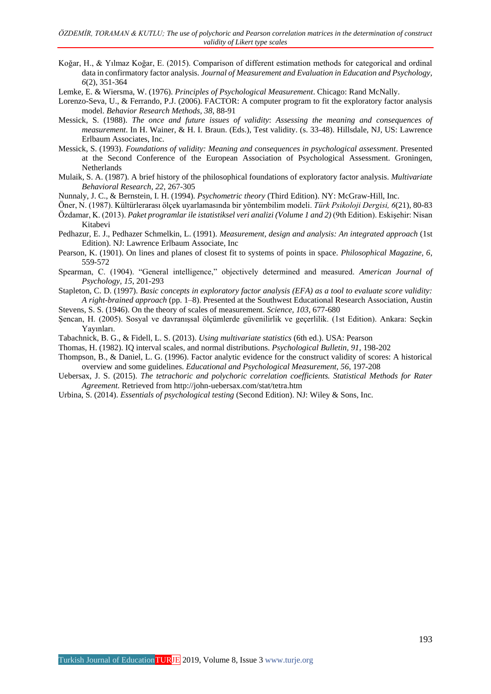- Koğar, H., & Yılmaz Koğar, E. (2015). Comparison of different estimation methods for categorical and ordinal data in confirmatory factor analysis. *Journal of Measurement and Evaluation in Education and Psychology, 6*(2), 351-364
- Lemke, E. & Wiersma, W. (1976). *Principles of Psychological Measurement*. Chicago: Rand McNally.
- Lorenzo-Seva, U., & Ferrando, P.J. (2006). FACTOR: A computer program to fit the exploratory factor analysis model. *Behavior Research Methods, 38*, 88-91
- Messick, S. (1988). *The once and future issues of validity*: *Assessing the meaning and consequences of measurement*. In H. Wainer, & H. I. Braun. (Eds.), Test validity. (s. 33-48). Hillsdale, NJ, US: Lawrence Erlbaum Associates, Inc.
- Messick, S. (1993). *Foundations of validity: Meaning and consequences in psychological assessment*. Presented at the Second Conference of the European Association of Psychological Assessment. Groningen, Netherlands
- Mulaik, S. A. (1987). A brief history of the philosophical foundations of exploratory factor analysis. *Multivariate Behavioral Research, 22*, 267-305
- Nunnaly, J. C., & Bernstein, I. H. (1994). *Psychometric theory* (Third Edition). NY: McGraw-Hill, Inc.
- Öner, N. (1987). Kültürlerarası ölçek uyarlamasında bir yöntembilim modeli. *Türk Psikoloji Dergisi, 6*(21), 80-83
- Özdamar, K. (2013). *Paket programlar ile istatistiksel veri analizi (Volume 1 and 2)* (9th Edition). Eskişehir: Nisan Kitabevi
- Pedhazur, E. J., Pedhazer Schmelkin, L. (1991). *Measurement, design and analysis: An integrated approach* (1st Edition). NJ: Lawrence Erlbaum Associate, Inc
- Pearson, K. (1901). On lines and planes of closest fit to systems of points in space. *Philosophical Magazine, 6*, 559-572
- Spearman, C. (1904). "General intelligence," objectively determined and measured. *American Journal of Psychology, 15*, 201-293
- Stapleton, C. D. (1997). *Basic concepts in exploratory factor analysis (EFA) as a tool to evaluate score validity: A right-brained approach* (pp. 1–8). Presented at the Southwest Educational Research Association, Austin
- Stevens, S. S. (1946). On the theory of scales of measurement. *Science, 103*, 677-680
- Şencan, H. (2005). Sosyal ve davranışsal ölçümlerde güvenilirlik ve geçerlilik. (1st Edition). Ankara: Seçkin Yayınları.
- Tabachnick, B. G., & Fidell, L. S. (2013). *Using multivariate statistics* (6th ed.). USA: Pearson
- Thomas, H. (1982). IQ interval scales, and normal distributions. *Psychological Bulletin, 91*, 198-202
- Thompson, B., & Daniel, L. G. (1996). Factor analytic evidence for the construct validity of scores: A historical overview and some guidelines. *Educational and Psychological Measurement, 56*, 197-208
- Uebersax, J. S. (2015). *The tetrachoric and polychoric correlation coefficients. Statistical Methods for Rater Agreement*. Retrieved from http://john-uebersax.com/stat/tetra.htm
- Urbina, S. (2014). *Essentials of psychological testing* (Second Edition). NJ: Wiley & Sons, Inc.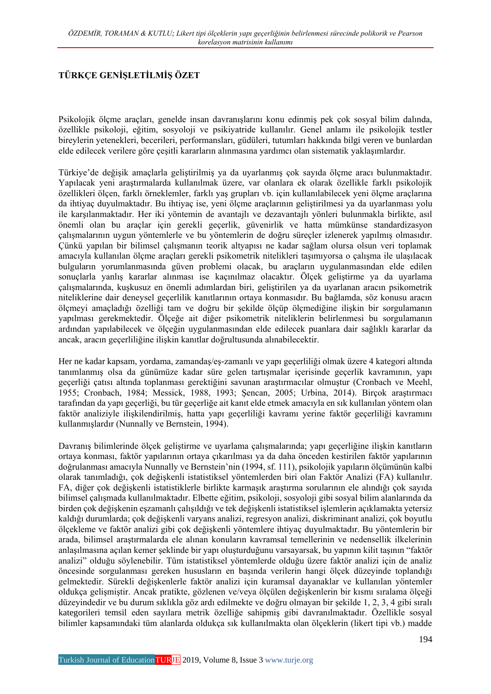### **TÜRKÇE GENİŞLETİLMİŞ ÖZET**

Psikolojik ölçme araçları, genelde insan davranışlarını konu edinmiş pek çok sosyal bilim dalında, özellikle psikoloji, eğitim, sosyoloji ve psikiyatride kullanılır. Genel anlamı ile psikolojik testler bireylerin yetenekleri, becerileri, performansları, güdüleri, tutumları hakkında bilgi veren ve bunlardan elde edilecek verilere göre çeşitli kararların alınmasına yardımcı olan sistematik yaklaşımlardır.

Türkiye'de değişik amaçlarla geliştirilmiş ya da uyarlanmış çok sayıda ölçme aracı bulunmaktadır. Yapılacak yeni araştırmalarda kullanılmak üzere, var olanlara ek olarak özellikle farklı psikolojik özellikleri ölçen, farklı örneklemler, farklı yaş grupları vb. için kullanılabilecek yeni ölçme araçlarına da ihtiyaç duyulmaktadır. Bu ihtiyaç ise, yeni ölçme araçlarının geliştirilmesi ya da uyarlanması yolu ile karşılanmaktadır. Her iki yöntemin de avantajlı ve dezavantajlı yönleri bulunmakla birlikte, asıl önemli olan bu araçlar için gerekli geçerlik, güvenirlik ve hatta mümkünse standardizasyon çalışmalarının uygun yöntemlerle ve bu yöntemlerin de doğru süreçler izlenerek yapılmış olmasıdır. Çünkü yapılan bir bilimsel çalışmanın teorik altyapısı ne kadar sağlam olursa olsun veri toplamak amacıyla kullanılan ölçme araçları gerekli psikometrik nitelikleri taşımıyorsa o çalışma ile ulaşılacak bulguların yorumlanmasında güven problemi olacak, bu araçların uygulanmasından elde edilen sonuçlarla yanlış kararlar alınması ise kaçınılmaz olacaktır. Ölçek geliştirme ya da uyarlama çalışmalarında, kuşkusuz en önemli adımlardan biri, geliştirilen ya da uyarlanan aracın psikometrik niteliklerine dair deneysel geçerlilik kanıtlarının ortaya konmasıdır. Bu bağlamda, söz konusu aracın ölçmeyi amaçladığı özelliği tam ve doğru bir şekilde ölçüp ölçmediğine ilişkin bir sorgulamanın yapılması gerekmektedir. Ölçeğe ait diğer psikometrik niteliklerin belirlenmesi bu sorgulamanın ardından yapılabilecek ve ölçeğin uygulanmasından elde edilecek puanlara dair sağlıklı kararlar da ancak, aracın geçerliliğine ilişkin kanıtlar doğrultusunda alınabilecektir.

Her ne kadar kapsam, yordama, zamandaş/eş-zamanlı ve yapı geçerliliği olmak üzere 4 kategori altında tanımlanmış olsa da günümüze kadar süre gelen tartışmalar içerisinde geçerlik kavramının, yapı geçerliği çatısı altında toplanması gerektiğini savunan araştırmacılar olmuştur (Cronbach ve Meehl, 1955; Cronbach, 1984; Messick, 1988, 1993; Şencan, 2005; Urbina, 2014). Birçok araştırmacı tarafından da yapı geçerliği, bu tür geçerliğe ait kanıt elde etmek amacıyla en sık kullanılan yöntem olan faktör analiziyle ilişkilendirilmiş, hatta yapı geçerliliği kavramı yerine faktör geçerliliği kavramını kullanmışlardır (Nunnally ve Bernstein, 1994).

Davranış bilimlerinde ölçek geliştirme ve uyarlama çalışmalarında; yapı geçerliğine ilişkin kanıtların ortaya konması, faktör yapılarının ortaya çıkarılması ya da daha önceden kestirilen faktör yapılarının doğrulanması amacıyla Nunnally ve Bernstein'nin (1994, sf. 111), psikolojik yapıların ölçümünün kalbi olarak tanımladığı, çok değişkenli istatistiksel yöntemlerden biri olan Faktör Analizi (FA) kullanılır. FA, diğer çok değişkenli istatistiklerle birlikte karmaşık araştırma sorularının ele alındığı çok sayıda bilimsel çalışmada kullanılmaktadır. Elbette eğitim, psikoloji, sosyoloji gibi sosyal bilim alanlarında da birden çok değişkenin eşzamanlı çalışıldığı ve tek değişkenli istatistiksel işlemlerin açıklamakta yetersiz kaldığı durumlarda; çok değişkenli varyans analizi, regresyon analizi, diskriminant analizi, çok boyutlu ölçekleme ve faktör analizi gibi çok değişkenli yöntemlere ihtiyaç duyulmaktadır. Bu yöntemlerin bir arada, bilimsel araştırmalarda ele alınan konuların kavramsal temellerinin ve nedensellik ilkelerinin anlaşılmasına açılan kemer şeklinde bir yapı oluşturduğunu varsayarsak, bu yapının kilit taşının "faktör analizi" olduğu söylenebilir. Tüm istatistiksel yöntemlerde olduğu üzere faktör analizi için de analiz öncesinde sorgulanması gereken hususların en başında verilerin hangi ölçek düzeyinde toplandığı gelmektedir. Sürekli değişkenlerle faktör analizi için kuramsal dayanaklar ve kullanılan yöntemler oldukça gelişmiştir. Ancak pratikte, gözlenen ve/veya ölçülen değişkenlerin bir kısmı sıralama ölçeği düzeyindedir ve bu durum sıklıkla göz ardı edilmekte ve doğru olmayan bir şekilde 1, 2, 3, 4 gibi sıralı kategorileri temsil eden sayılara metrik özelliğe sahipmiş gibi davranılmaktadır. Özellikle sosyal bilimler kapsamındaki tüm alanlarda oldukça sık kullanılmakta olan ölçeklerin (likert tipi vb.) madde